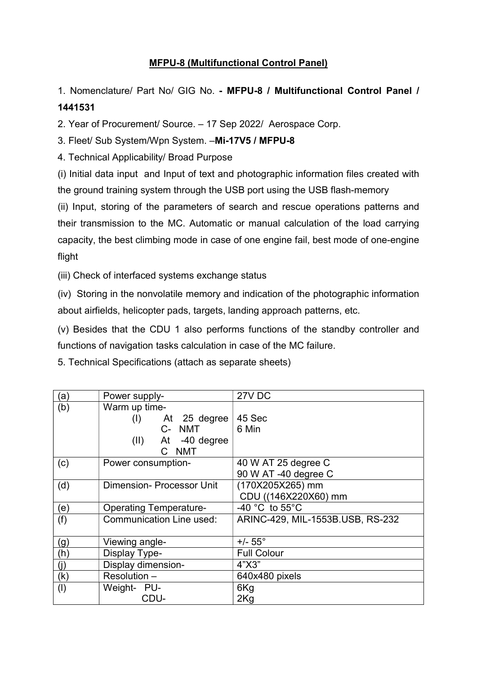## MFPU-8 (Multifunctional Control Panel)

1. Nomenclature/ Part No/ GIG No. - MFPU-8 / Multifunctional Control Panel / 1441531

2. Year of Procurement/ Source. – 17 Sep 2022/ Aerospace Corp.

3. Fleet/ Sub System/Wpn System. –Mi-17V5 / MFPU-8

4. Technical Applicability/ Broad Purpose

(i) Initial data input and Input of text and photographic information files created with the ground training system through the USB port using the USB flash-memory

(ii) Input, storing of the parameters of search and rescue operations patterns and their transmission to the MC. Automatic or manual calculation of the load carrying capacity, the best climbing mode in case of one engine fail, best mode of one-engine flight

(iii) Check of interfaced systems exchange status

(iv) Storing in the nonvolatile memory and indication of the photographic information about airfields, helicopter pads, targets, landing approach patterns, etc.

(v) Besides that the CDU 1 also performs functions of the standby controller and functions of navigation tasks calculation in case of the MC failure.

5. Technical Specifications (attach as separate sheets)

| (a)       | Power supply-                   | 27V DC                              |
|-----------|---------------------------------|-------------------------------------|
| (b)       | Warm up time-                   |                                     |
|           | At 25 degree<br>(I)             | 45 Sec                              |
|           | C- NMT                          | 6 Min                               |
|           | $(II)$ At -40 degree            |                                     |
|           | C NMT                           |                                     |
| (c)       | Power consumption-              | 40 W AT 25 degree C                 |
|           |                                 | 90 W AT -40 degree C                |
| (d)       | <b>Dimension-Processor Unit</b> | (170X205X265) mm                    |
|           |                                 | CDU ((146X220X60) mm                |
| (e)       | <b>Operating Temperature-</b>   | -40 $^{\circ}$ C to 55 $^{\circ}$ C |
| (f)       | <b>Communication Line used:</b> | ARINC-429, MIL-1553B.USB, RS-232    |
|           |                                 |                                     |
| (g)       | Viewing angle-                  | $+/- 55^{\circ}$                    |
| (h)       | Display Type-                   | <b>Full Colour</b>                  |
| (j)       | Display dimension-              | 4"X3"                               |
| (k)       | Resolution -                    | 640x480 pixels                      |
| $($ l $)$ | Weight- PU-                     | 6Kg                                 |
|           | CDU-                            | 2Kg                                 |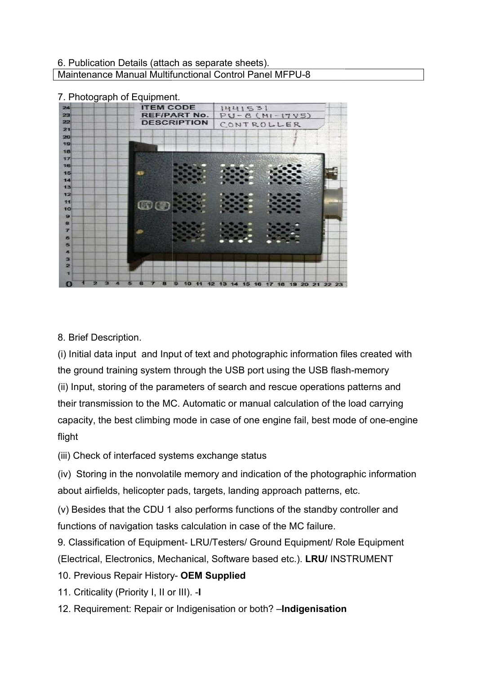## 6. Publication Details (attach as separate sheets). 6. Publication Details (attach as separate sheets).<br>Maintenance Manual Multifunctional Control Panel MFPU-8

## 7. Photograph of Equipment.

| 7. Photograph of Equipment. |                     |                                                                                         |  |
|-----------------------------|---------------------|-----------------------------------------------------------------------------------------|--|
| 24                          | <b>ITEM CODE</b>    | 1441531                                                                                 |  |
| 23                          | <b>REF/PART No.</b> | $PU - Q (MI - I7V5)$                                                                    |  |
| 22<br>21                    | <b>ESCRIPTION</b>   | CONTROLLER                                                                              |  |
| 20                          |                     |                                                                                         |  |
| 19                          |                     |                                                                                         |  |
| 18                          |                     |                                                                                         |  |
| 17<br>16                    |                     |                                                                                         |  |
| 15                          |                     |                                                                                         |  |
| 14                          |                     |                                                                                         |  |
| 13                          |                     |                                                                                         |  |
| 12                          |                     |                                                                                         |  |
| 11<br>10                    | CO <sup>C</sup>     |                                                                                         |  |
| 9                           |                     |                                                                                         |  |
|                             |                     |                                                                                         |  |
|                             |                     |                                                                                         |  |
| 5                           |                     |                                                                                         |  |
|                             |                     |                                                                                         |  |
| з                           |                     |                                                                                         |  |
| 2                           |                     |                                                                                         |  |
|                             |                     |                                                                                         |  |
|                             |                     | 19 20                                                                                   |  |
|                             |                     |                                                                                         |  |
|                             |                     |                                                                                         |  |
|                             |                     |                                                                                         |  |
|                             |                     |                                                                                         |  |
|                             |                     |                                                                                         |  |
| 8. Brief Description.       |                     |                                                                                         |  |
|                             |                     |                                                                                         |  |
|                             |                     | (i) Initial data input and Input of text and photographic information files created wit |  |
|                             |                     |                                                                                         |  |
|                             |                     | the ground training system through the USB port using the USB flash-memory              |  |
|                             |                     | (ii) Input, storing of the parameters of search and rescue operations patterns and      |  |
|                             |                     |                                                                                         |  |
|                             |                     | their transmission to the MC. Automatic or manual calculation of the load carrying      |  |

(i) Initial data input and Input of text and photographic information files created with the ground training system through the USB port using the USB flash flash-memory (ii) Input, storing of the parameters of search and rescue operations patterns and their transmission to the MC. Automatic or manual calculation of the load carrying their transmission to the MC. Automatic or manual calculation of the load carrying<br>capacity, the best climbing mode in case of one engine fail, best mode of one-engine flight

(iii) Check of interfaced systems exchange status

(iv) Storing in the nonvolatile memory and indication of the photographic information about airfields, helicopter pads, targets, landing approach patterns, etc.

(v) Besides that the CDU 1 also performs functions of the standby controller and functions of navigation tasks calculation in case of the MC failure. about airfields, helicopter pads, targets, landing approach patterns, etc.<br>(v) Besides that the CDU 1 also performs functions of the standby controller and<br>functions of navigation tasks calculation in case of the MC failur

9. Classification of Equipment- LRU/Testers/ Ground Equipment/ Role Equipment (Electrical, Electronics, Mechanical, Software based etc.). LRU/ INSTRUMENT

- 10. Previous Repair History- OEM Supplied
- 11. Criticality (Priority I, II or III). -I
- 12. Requirement: Repair or Indigenisation or both? Indigenisation